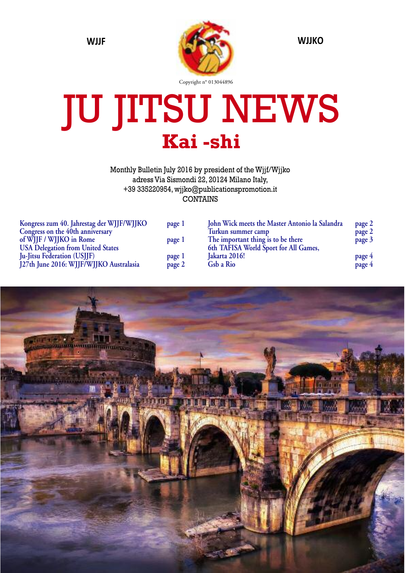

# JU JITSU NEWS **Kai -shi**

Monthly Bulletin July 2016 by president of the Wjjf/Wjjko adress Via Sismondi 22, 20124 Milano Italy, +39 335220954, wjjko@publicationspromotion.it CONTAINS

| Kongress zum 40. Jahrestag der WJJF/WJJKO | page 1 | John Wick meets the Master Antonio la Salandra | page 2 |
|-------------------------------------------|--------|------------------------------------------------|--------|
| Congress on the 40th anniversary          |        | Turkun summer camp                             | page 2 |
| of WHF / WHKO in Rome                     | page 1 | The important thing is to be there             | page 3 |
| <b>USA Delegation from United States</b>  |        | 6th TAFISA World Sport for All Games,          |        |
| <b>Ju-Jitsu Federation (USJJF)</b>        | page 1 | Jakarta 2016!                                  | page 4 |
| J27th June 2016: WJJF/WJJKO Australasia   | page 2 | Gsb a Rio                                      | page 4 |
|                                           |        |                                                |        |

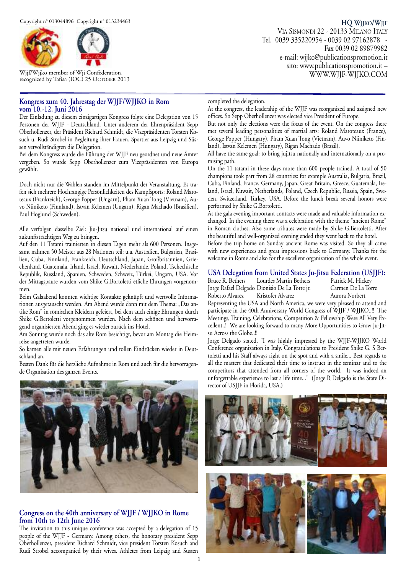

Wjjf/Wjjko member of Wjj Confederation, recognized by Tafisa (IOC) 25 OCTOBER 2013

#### **Kongress zum 40. Jahrestag der WJJF/WJJKO in Rom vom 10.-12. Juni 2016**

Der Einladung zu diesem einzigartigen Kongress folgte eine Delegation von 15 Personen der WJJF - Deutschland. Unter anderem der Ehrenpräsident Sepp Oberhollenzer, der Präsident Richard Schmidt, die Vizepräsidenten Torsten Kosuch u. Rudi Strobel in Begleitung ihrer Frauen. Sportler aus Leipzig und Süssen vervollständigten die Delegation.

Bei dem Kongress wurde die Führung der WJJF neu geordnet und neue Ämter vergeben. So wurde Sepp Oberhollenzer zum Vizepräsidenten von Europa gewählt.

Doch nicht nur die Wahlen standen im Mittelpunkt der Veranstaltung. Es trafen sich mehrere Hochrangige Persönlichkeiten des Kampfsports: Roland Maroteaux (Frankreich), George Popper (Ungarn), Pham Xuan Tong (Vietnam), Auvo Niiniketo (Finnland), Istvan Kelemen (Ungarn), Rigan Machado (Brasilien), Paul Hoglund (Schweden).

Alle verfolgen dasselbe Ziel: Jiu-Jitsu national und international auf einen zukunftsträchtigen Weg zu bringen.

Auf den 11 Tatami trainierten in diesen Tagen mehr als 600 Personen. Insgesamt nahmen 50 Meister aus 28 Nationen teil: u.a. Australien, Bulgarien, Brasilien, Cuba, Finnland, Frankreich, Deutschland, Japan, Großbritannien, Griechenland, Guatemala, Irland, Israel, Kuwait, Niederlande, Poland, Tschechische Republik, Russland, Spanien, Schweden, Schweiz, Türkei, Ungarn, USA. Vor der Mittagspause wurden vom Shike G.Bortoletti etliche Ehrungen vorgenommen.

Beim Galaabend konnten wichtige Kontakte geknüpft und wertvolle Informationen ausgetauscht werden. Am Abend wurde dann mit dem Thema: "Das antike Rom" in römischen Kleidern gefeiert, bei dem auch einige Ehrungen durch Shike G.Bertoletti vorgenommen wurden. Nach dem schönen und hervorragend organisierten Abend ging es wieder zurück ins Hotel.

Am Sonntag wurde noch das alte Rom besichtigt, bevor am Montag die Heimreise angetreten wurde.

So kamen alle mit neuen Erfahrungen und tollen Eindrücken wieder in Deutschland an.

Besten Dank für die herzliche Aufnahme in Rom und auch für die hervorragende Organisation des ganzen Events.



#### **Congress on the 40th anniversary of WJJF / WJJKO in Rome from 10th to 12th June 2016**

The invitation to this unique conference was accepted by a delegation of 15 people of the WJJF - Germany. Among others, the honorary president Sepp Oberhollenzer, president Richard Schmidt, vice president Torsten Kosuch and Rudi Strobel accompanied by their wives. Athletes from Leipzig and Süssen

VIA SISMONDI 22 - 20133 MILANO ITALY Tel. 0039 335220954 - 0039 02 97162878 - Fax 0039 02 89879982 e-mail: wjjko@publicationspromotion.it sito: www.publicationspromotion.it – WWW.WJJF-WJJKO.COM

**HQ WJJKO/WJJF**

#### completed the delegation.

At the congress, the leadership of the WJJF was reorganized and assigned new offices. So Sepp Oberhollenzer was elected vice President of Europe.

But not only the elections were the focus of the event. On the congress there met several leading personalities of martial arts: Roland Maroteaux (France), George Popper (Hungary), Pham Xuan Tong (Vietnam), Auvo Niiniketo (Finland), Istvan Kelemen (Hungary), Rigan Machado (Brazil).

All have the same goal: to bring jujitsu nationally and internationally on a promising path.

On the 11 tatami in these days more than 600 people trained. A total of 50 champions took part from 28 countries: for example Australia, Bulgaria, Brazil, Cuba, Finland, France, Germany, Japan, Great Britain, Greece, Guatemala, Ireland, Israel, Kuwait, Netherlands, Poland, Czech Republic, Russia, Spain, Sweden, Switzerland, Turkey, USA. Before the lunch break several honors were performed by Shike G.Bortoletti.

At the gala evening important contacts were made and valuable information exchanged. In the evening there was a celebration with the theme "ancient Rome" in Roman clothes. Also some tributes were made by Shike G.Bertoletti. After the beautiful and well-organized evening ended they went back to the hotel. Before the trip home on Sunday ancient Rome was visited. So they all came

with new experiences and great impressions back to Germany. Thanks for the welcome in Rome and also for the excellent organization of the whole event.

# **USA Delegation from United States Ju-Jitsu Federation (USJJF):**

Lourdes Martin Bethers Jorge Rafael Delgado Dionisio De La Torre jr. Carmen De La Torre Roberto Alvarez Kristofer Alvarez Aurora Norbert

Representing the USA and North America, we were very pleased to attend and participate in the 40th Anniversary World Congress of WJJF / WJJKO..!! The Meetings, Training, Celebrations, Competition & Fellowship Were All Very Excellent..! We are looking forward to many More Opportunities to Grow Ju-Jitsu Across the Globe..!!

Jorge Delgado stated, "I was highly impressed by the WJJF-WJJKO World Conference organization in Italy. Congratulations to President Shike G. S Bertoletti and his Staff always right on the spot and with a smile... Best regards to all the masters that dedicated their time to instruct in the seminar and to the competitors that attended from all corners of the world. It was indeed an unforgettable experience to last a life time..." (Jorge R Delgado is the State Director of USJJF in Florida, USA.)

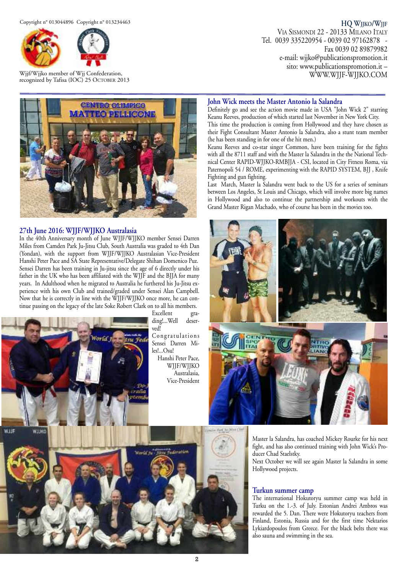

Wjjf/Wjjko member of Wjj Confederation, recognized by Tafisa (IOC) 25 OCTOBER 2013

## **HQ WJJKO/WJJF** VIA SISMONDI 22 - 20133 MILANO ITALY Tel. 0039 335220954 - 0039 02 97162878 - Fax 0039 02 89879982 e-mail: wjjko@publicationspromotion.it sito: www.publicationspromotion.it –

WWW.WJJF-WJJKO.COM



# **27th June 2016: WJJF/WJJKO Australasia**

In the 40th Anniversary month of June WJJF/WJJKO member Sensei Darren Miles from Camden Park Ju-Jitsu Club, South Australia was graded to 4th Dan (Yondan), with the support from WJJF/WJJKO Australasian Vice-President Hanshi Peter Pace and SA State Representative/Delegate Shihan Domenico Puz. Sensei Darren has been training in Ju-jitsu since the age of 6 directly under his father in the UK who has been affiliated with the WJJF and the BJJA for many years. In Adulthood when he migrated to Australia he furthered his Ju-Jitsu experience with his own Club and trained/graded under Sensei Alan Campbell. Now that he is correctly in line with the WJJF/WJJKO once more, he can continue passing on the legacy of the late Soke Robert Clark on to all his members.



Excellent grading!...Well deserved!

Congratulations Sensei Darren Miles!...Osu! Hanshi Peter Pace, WJJF/WJJKO

> Australasia, Vice-President

**John Wick meets the Master Antonio la Salandra** Definitely go and see the action movie made in USA "John Wick 2" starring

Keanu Reeves, production of which started last November in New York City. This time the production is coming from Hollywood and they have chosen as their Fight Consultant Master Antonio la Salandra, also a stunt team member (he has been standing in for one of the hit men.)

Keanu Reeves and co-star singer Common, have been training for the fights with all the 8711 staff and with the Master la Salandra in the the National Technical Center RAPID-WJJKO-RMBJJA - CSI, located in City Fitness Roma, via Paternopoli 54 / ROME, experimenting with the RAPID SYSTEM, BJJ , Knife Fighting and gun fighting.

Last March, Master la Salandra went back to the US for a series of seminars between Los Angeles, St Louis and Chicago, which will involve more big names in Hollywood and also to continue the partnership and workouts with the Grand Master Rigan Machado, who of course has been in the movies too.



Master la Salandra, has coached Mickey Rourke for his next fight, and has also continued training with John Wick's Producer Chad Staelstky.

Next October we will see again Master la Salandra in some Hollywood projects.

#### **Turkun summer camp**

The international Hokutoryu summer camp was held in Turku on the 1.-3. of July. Estonian Andrei Ambros was rewarded the 5. Dan. There were Hokutoryu teachers from Finland, Estonia, Russia and for the first time Nektarios Lykiardopoulos from Greece. For the black belts there was also sauna and swimming in the sea.

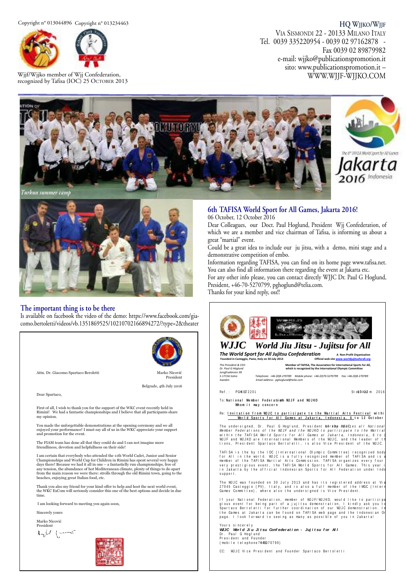Copyright n° 013044896 Copyright n° 013234463



Wjjf/Wjjko member of Wjj Confederation, recognized by Tafisa (IOC) 25 OCTOBER 2013

**HQ WJJKO/WJJF** VIA SISMONDI 22 - 20133 MILANO ITALY Tel. 0039 335220954 - 0039 02 97162878 - Fax 0039 02 89879982 e-mail: wjjko@publicationspromotion.it sito: www.publicationspromotion.it – WWW.WJJF-WJJKO.COM





*Turkun summer camp*



# **The important thing is to be there**

Is available on facebook the video of the demo: https://www.facebook.com/giacomo.bertoletti/videos/vb.1351869525/10210702166894272/?type=2&theater



Attn. Dr. Giacomo Spartaco Berolett

i Ma President Belgrade, 4th July 2016

Dear Spartaco,

First of all, I wish to thank you for the support of the WKC event recently held in Rimini! We had a fantastic championships and I believe that all participants share my opinion.

You made the unforgettable demonstrations at the opening ceremony and we all<br>enjoyed your performance! I must say all of us in the WKC appreciate your support<br>and promotion for the event.

The FIAM team has done all that they could do and I can not imagine more friendliness, devotion and helpfullness on their side!

I am certain that everybody who attended the 11th World Cadet, Junior and Senior Championships and World Cup for Children in Rimini has spent several very happy<br>days there! Because we had it all in one – a fantasticlly run championships, free of any tension, the abundance of hot Mediteranean climate, plenty of things to do apart<br>from the main reason we were there: strolls through the old Rimini town, going to the<br>beaches, enjoying great Italian food, etc.

Thank you also my friend for your kind offer to help and host the next world event,<br>the WKC ExCom will seriously consider this one of the best options and decide in due ime.

I am looking forward to meeting you again soon,

Sincerely yours

Marko Nicović

President



# **6th TAFISA World Sport for All Games, Jakarta 2016!**

06 October, 12 October 2016

Dear Colleagues, our Doct. Paul Hoglund, President Wjj Confederation, of which we are a member and vice chairman of Tafisa, is informing us about a great "martial" event.

Could be a great idea to include our ju jitsu, with a demo, mini stage and a demonstrative competition of embo.

Information regarding TAFISA, you can find on its home page www.tafisa.net. You can also find all information there regarding the event at Jakarta etc.

For any other info please, you can contact directly WJJC Dr. Paul G Hoglund, President, +46-70-5270799, pghoglund@telia.com.

Thanks for your kind reply, oss!!



CC: WJJC Vice President and Founder Spartaco Bertoletti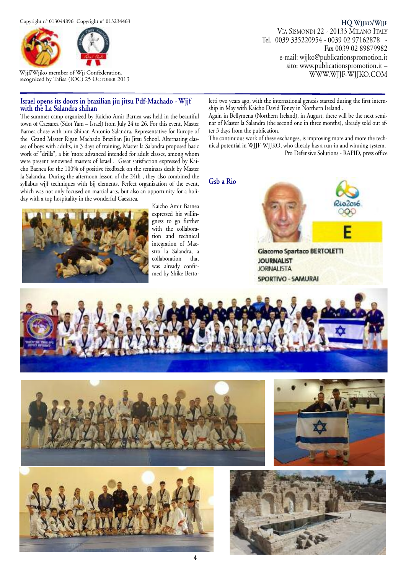

Wjjf/Wjjko member of Wjj Confederation, recognized by Tafisa (IOC) 25 OCTOBER 2013

#### **Israel opens its doors in brazilian jiu jitsu Pdf-Machado - Wjjf with the La Salandra shihan**

The summer camp organized by Kaicho Amir Barnea was held in the beautiful town of Caesarea (Sdot Yam – Israel) from July 24 to 26. For this event, Master Barnea chose with him Shihan Antonio Salandra, Representative for Europe of the Grand Master Rigan Machado Brazilian Jiu Jitsu School. Alternating classes of boys with adults, in 3 days of training, Master la Salandra proposed basic work of "drills", a bit 'more advanced intended for adult classes, among whom were present renowned masters of Israel . Great satisfaction expressed by Kaicho Baenea for the 100% of positive feedback on the seminars dealt by Master la Salandra. During the afternoon lesson of the 24th , they also combined the syllabus wjjf techniques with bjj elements. Perfect organization of the event, which was not only focused on martial arts, but also an opportunity for a holiday with a top hospitality in the wonderful Caesarea.



Kaicho Amir Barnea expressed his willingness to go further with the collaboration and technical integration of Maestro la Salandra, a collaboration that was already confirmed by Shike Berto-

**HQ WJJKO/WJJF** VIA SISMONDI 22 - 20133 MILANO ITALY Tel. 0039 335220954 - 0039 02 97162878 - Fax 0039 02 89879982 e-mail: wjjko@publicationspromotion.it sito: www.publicationspromotion.it – WWW.WJJF-WJJKO.COM

letti two years ago, with the international genesis started during the first internship in May with Kaicho David Toney in Northern Ireland .

Again in Bellymena (Northern Ireland), in August, there will be the next seminar of Master la Salandra (the second one in three months), already sold out after 3 days from the publication.

The continuous work of these exchanges, is improving more and more the technical potential in WJJF-WJJKO, who already has a run-in and winning system. Pro Defensive Solutions - RAPID, press office

**Gsb a Rio**





**Giacomo Spartaco BERTOLETTI JOURNALIST JORNALISTA** SPORTIVO - SAMURAI